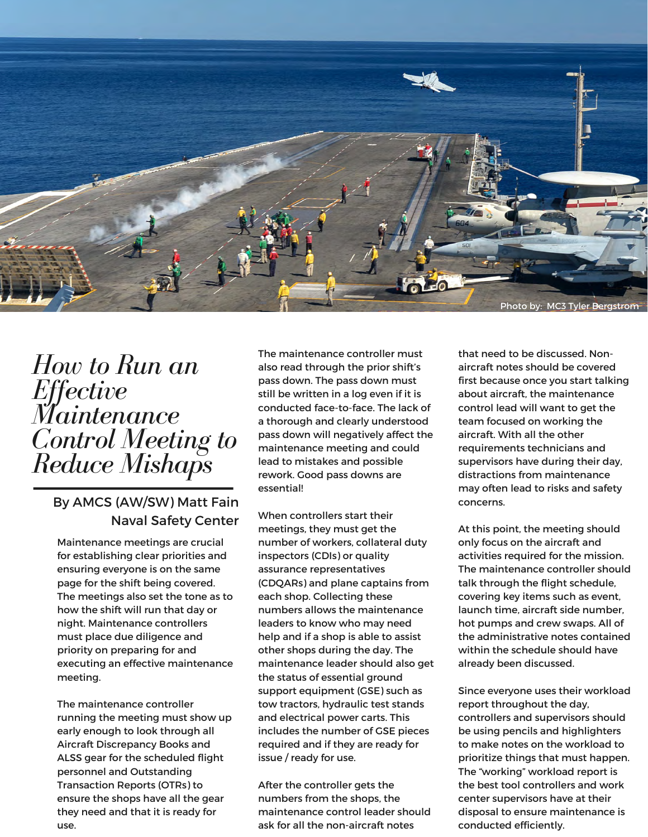

## *How to Run an Effective Maintenance Control Meeting to Reduce Mishaps*

## By AMCS (AW/SW) Matt Fain Naval Safety Center

Maintenance meetings are crucial for establishing clear priorities and ensuring everyone is on the same page for the shift being covered. The meetings also set the tone as to how the shift will run that day or night. Maintenance controllers must place due diligence and priority on preparing for and executing an effective maintenance meeting.

The maintenance controller running the meeting must show up early enough to look through all Aircraft Discrepancy Books and ALSS gear for the scheduled flight personnel and Outstanding Transaction Reports (OTRs) to ensure the shops have all the gear they need and that it is ready for use.

The maintenance controller must also read through the prior shift's pass down. The pass down must still be written in a log even if it is conducted face-to-face. The lack of a thorough and clearly understood pass down will negatively affect the maintenance meeting and could lead to mistakes and possible rework. Good pass downs are essential!

When controllers start their meetings, they must get the number of workers, collateral duty inspectors (CDIs) or quality assurance representatives (CDQARs) and plane captains from each shop. Collecting these numbers allows the maintenance leaders to know who may need help and if a shop is able to assist other shops during the day. The maintenance leader should also get the status of essential ground support equipment (GSE) such as tow tractors, hydraulic test stands and electrical power carts. This includes the number of GSE pieces required and if they are ready for issue / ready for use.

After the controller gets the numbers from the shops, the maintenance control leader should ask for all the non-aircraft notes

that need to be discussed. Nonaircraft notes should be covered first because once you start talking about aircraft, the maintenance control lead will want to get the team focused on working the aircraft. With all the other requirements technicians and supervisors have during their day, distractions from maintenance may often lead to risks and safety concerns.

At this point, the meeting should only focus on the aircraft and activities required for the mission. The maintenance controller should talk through the flight schedule, covering key items such as event, launch time, aircraft side number, hot pumps and crew swaps. All of the administrative notes contained within the schedule should have already been discussed.

Since everyone uses their workload report throughout the day, controllers and supervisors should be using pencils and highlighters to make notes on the workload to prioritize things that must happen. The "working" workload report is the best tool controllers and work center supervisors have at their disposal to ensure maintenance is conducted efficiently.